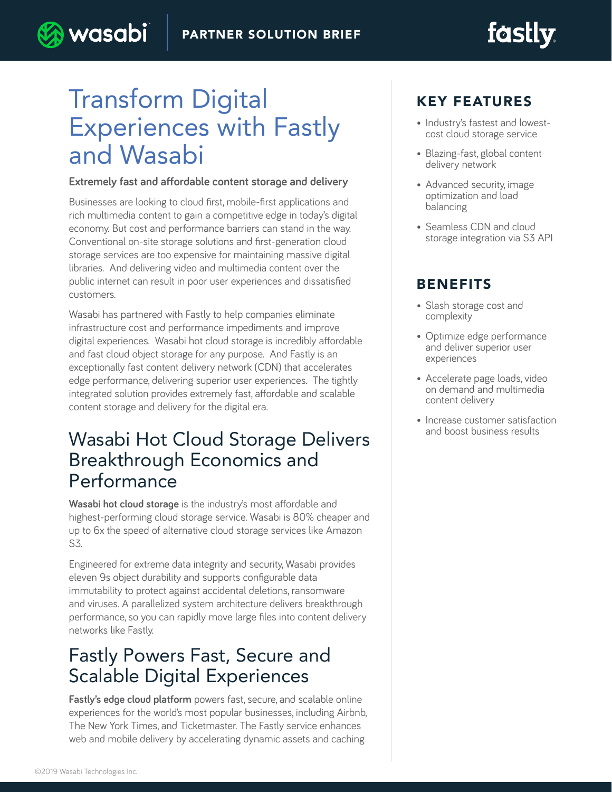# **fastly**

# Transform Digital Experiences with Fastly and Wasabi

) wasabi

#### **Extremely fast and affordable content storage and delivery**

Businesses are looking to cloud first, mobile-first applications and rich multimedia content to gain a competitive edge in today's digital economy. But cost and performance barriers can stand in the way. Conventional on-site storage solutions and first-generation cloud storage services are too expensive for maintaining massive digital libraries. And delivering video and multimedia content over the public internet can result in poor user experiences and dissatisfied customers.

Wasabi has partnered with Fastly to help companies eliminate infrastructure cost and performance impediments and improve digital experiences. Wasabi hot cloud storage is incredibly affordable and fast cloud object storage for any purpose. And Fastly is an exceptionally fast content delivery network (CDN) that accelerates edge performance, delivering superior user experiences. The tightly integrated solution provides extremely fast, affordable and scalable content storage and delivery for the digital era.

## Wasabi Hot Cloud Storage Delivers Breakthrough Economics and Performance

**Wasabi hot cloud storage** is the industry's most affordable and highest-performing cloud storage service. Wasabi is 80% cheaper and up to 6x the speed of alternative cloud storage services like Amazon S3.

Engineered for extreme data integrity and security, Wasabi provides eleven 9s object durability and supports configurable data immutability to protect against accidental deletions, ransomware and viruses. A parallelized system architecture delivers breakthrough performance, so you can rapidly move large files into content delivery networks like Fastly.

## Fastly Powers Fast, Secure and Scalable Digital Experiences

**Fastly's edge cloud platform** powers fast, secure, and scalable online experiences for the world's most popular businesses, including Airbnb, The New York Times, and Ticketmaster. The Fastly service enhances web and mobile delivery by accelerating dynamic assets and caching

### KEY FEATURES

- Industry's fastest and lowestcost cloud storage service
- Blazing-fast, global content delivery network
- Advanced security, image optimization and load balancing
- Seamless CDN and cloud storage integration via S3 API

### BENEFITS

- Slash storage cost and complexity
- Optimize edge performance and deliver superior user experiences
- Accelerate page loads, video on demand and multimedia content delivery
- Increase customer satisfaction and boost business results